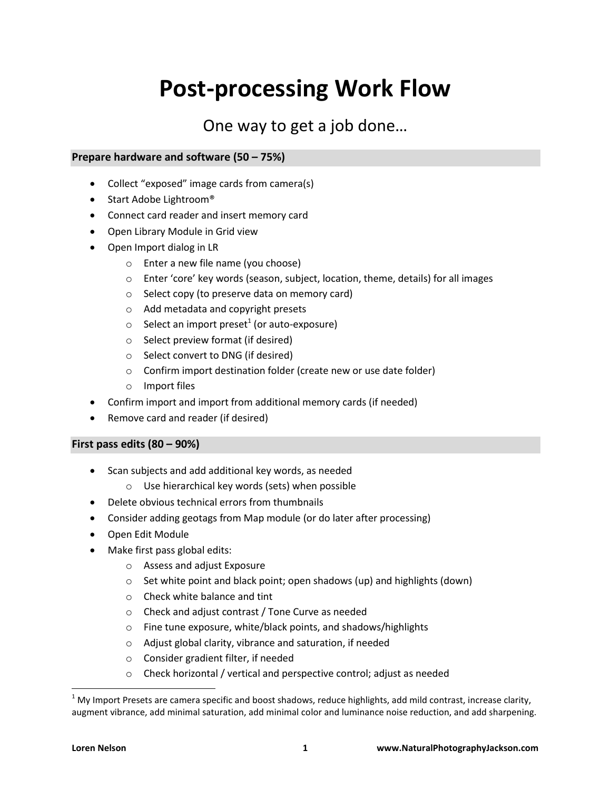# **Post-processing Work Flow**

## One way to get a job done…

### **Prepare hardware and software (50 – 75%)**

- Collect "exposed" image cards from camera(s)
- Start Adobe Lightroom®
- Connect card reader and insert memory card
- Open Library Module in Grid view
- Open Import dialog in LR
	- o Enter a new file name (you choose)
	- $\circ$  Enter 'core' key words (season, subject, location, theme, details) for all images
	- o Select copy (to preserve data on memory card)
	- o Add metadata and copyright presets
	- $\circ$  Select an import preset<sup>1</sup> (or auto-exposure)
	- o Select preview format (if desired)
	- o Select convert to DNG (if desired)
	- o Confirm import destination folder (create new or use date folder)
	- o Import files
- Confirm import and import from additional memory cards (if needed)
- Remove card and reader (if desired)

#### **First pass edits (80 – 90%)**

- Scan subjects and add additional key words, as needed
	- o Use hierarchical key words (sets) when possible
- Delete obvious technical errors from thumbnails
- Consider adding geotags from Map module (or do later after processing)
- Open Edit Module
- Make first pass global edits:
	- o Assess and adjust Exposure
	- o Set white point and black point; open shadows (up) and highlights (down)
	- o Check white balance and tint
	- o Check and adjust contrast / Tone Curve as needed
	- o Fine tune exposure, white/black points, and shadows/highlights
	- o Adjust global clarity, vibrance and saturation, if needed
	- o Consider gradient filter, if needed
	- o Check horizontal / vertical and perspective control; adjust as needed

l

 $1$  My Import Presets are camera specific and boost shadows, reduce highlights, add mild contrast, increase clarity, augment vibrance, add minimal saturation, add minimal color and luminance noise reduction, and add sharpening.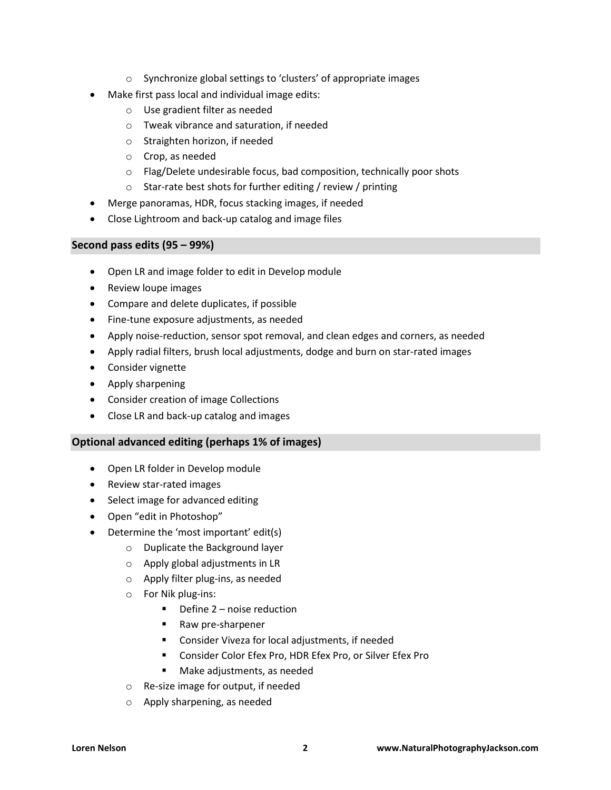- o Synchronize global settings to 'clusters' of appropriate images
- Make first pass local and individual image edits:
	- o Use gradient filter as needed
	- o Tweak vibrance and saturation, if needed
	- o Straighten horizon, if needed
	- o Crop, as needed
	- o Flag/Delete undesirable focus, bad composition, technically poor shots
	- o Star-rate best shots for further editing / review / printing
- Merge panoramas, HDR, focus stacking images, if needed
- Close Lightroom and back-up catalog and image files

#### **Second pass edits (95 – 99%)**

- Open LR and image folder to edit in Develop module
- Review loupe images
- Compare and delete duplicates, if possible
- Fine-tune exposure adjustments, as needed
- Apply noise-reduction, sensor spot removal, and clean edges and corners, as needed
- Apply radial filters, brush local adjustments, dodge and burn on star-rated images
- Consider vignette
- Apply sharpening
- Consider creation of image Collections
- Close LR and back-up catalog and images

#### **Optional advanced editing (perhaps 1% of images)**

- Open LR folder in Develop module
- Review star-rated images
- Select image for advanced editing
- Open "edit in Photoshop"
- Determine the 'most important' edit(s)
	- o Duplicate the Background layer
	- o Apply global adjustments in LR
	- o Apply filter plug-ins, as needed
	- o For Nik plug-ins:
		- Define 2 noise reduction
		- Raw pre-sharpener
		- Consider Viveza for local adjustments, if needed
		- Consider Color Efex Pro, HDR Efex Pro, or Silver Efex Pro
		- **Make adjustments, as needed**
	- o Re-size image for output, if needed
	- o Apply sharpening, as needed